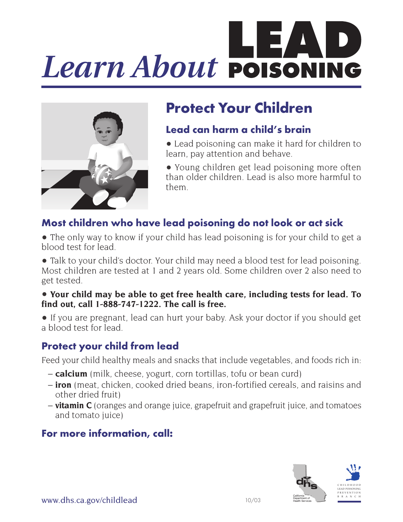# *Learn About*



# **Protect Your Children**

## **Lead can harm a child's brain**

- Lead poisoning can make it hard for children to learn, pay attention and behave.
- Young children get lead poisoning more often than older children. Lead is also more harmful to them.

## **Most children who have lead poisoning do not look or act sick**

• The only way to know if your child has lead poisoning is for your child to get a blood test for lead.

• Talk to your child's doctor. Your child may need a blood test for lead poisoning. Most children are tested at 1 and 2 years old. Some children over 2 also need to get tested.

### • **Your child may be able to get free health care, including tests for lead. To find out, call 1-888-747-1222. The call is free.**

• If you are pregnant, lead can hurt your baby. Ask your doctor if you should get a blood test for lead.

## **Protect your child from lead**

Feed your child healthy meals and snacks that include vegetables, and foods rich in:

- **calcium** (milk, cheese, yogurt, corn tortillas, tofu or bean curd)
- **iron** (meat, chicken, cooked dried beans, iron-fortified cereals, and raisins and other dried fruit)
- **vitamin C** (oranges and orange juice, grapefruit and grapefruit juice, and tomatoes and tomato juice)

## **For more information, call:**